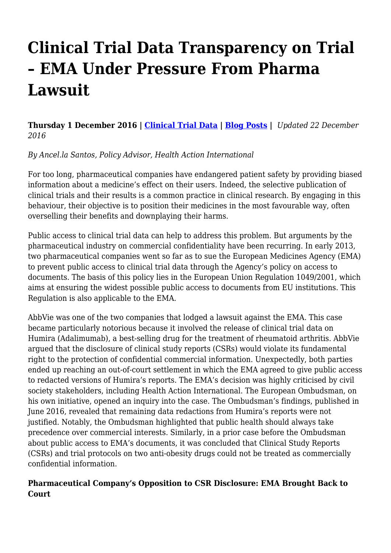# **Clinical Trial Data Transparency on Trial – EMA Under Pressure From Pharma Lawsuit**

**Thursday 1 December 2016 | [Clinical Trial Data](http://haiweb.org/category/clinical-trial-data/) | [Blog Posts](http://haiweb.org/tag/blog-posts/) |** *Updated 22 December 2016*

*By Ancel.la Santos, Policy Advisor, Health Action International*

For too long, pharmaceutical companies have endangered patient safety by providing biased information about a medicine's effect on their users. Indeed, the selective publication of clinical trials and their results is a common practice in clinical research. By engaging in this behaviour, their objective is to position their medicines in the most favourable way, often overselling their benefits and downplaying their harms.

Public access to clinical trial data can help to address this problem. But arguments by the pharmaceutical industry on commercial confidentiality have been recurring. In early 2013, two pharmaceutical companies went so far as to sue the European Medicines Agency (EMA) to prevent public access to clinical trial data through the Agency's policy on access to documents. The basis of this policy lies in the European Union Regulation 1049/2001, which aims at ensuring the widest possible public access to documents from EU institutions. This Regulation is also applicable to the EMA.

AbbVie was one of the two companies that lodged a lawsuit against the EMA. This case became particularly notorious because it involved the release of clinical trial data on Humira (Adalimumab), a best-selling drug for the treatment of rheumatoid arthritis. AbbVie argued that the disclosure of clinical study reports (CSRs) would violate its fundamental right to the protection of confidential commercial information. Unexpectedly, both parties ended up reaching an out-of-court settlement in which the EMA agreed to give public access to redacted versions of Humira's reports. The EMA's decision was highly criticised by civil society stakeholders, including Health Action International. The European Ombudsman, on his own initiative, opened an inquiry into the case. The Ombudsman's findings, published in June 2016, revealed that remaining data redactions from Humira's reports were not justified. Notably, the Ombudsman highlighted that public health should always take precedence over commercial interests. Similarly, in a prior case before the Ombudsman about public access to EMA's documents, it was concluded that Clinical Study Reports (CSRs) and trial protocols on two anti-obesity drugs could not be treated as commercially confidential information.

#### **Pharmaceutical Company's Opposition to CSR Disclosure: EMA Brought Back to Court**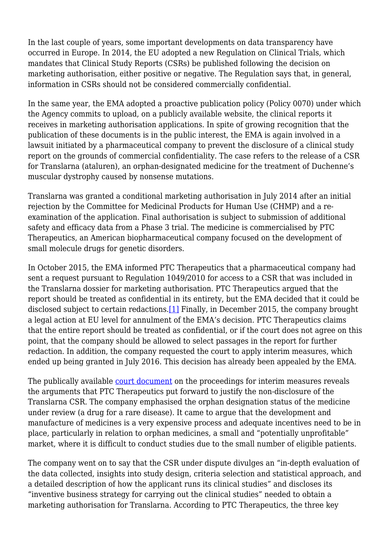In the last couple of years, some important developments on data transparency have occurred in Europe. In 2014, the EU adopted a new Regulation on Clinical Trials, which mandates that Clinical Study Reports (CSRs) be published following the decision on marketing authorisation, either positive or negative. The Regulation says that, in general, information in CSRs should not be considered commercially confidential.

In the same year, the EMA adopted a proactive publication policy (Policy 0070) under which the Agency commits to upload, on a publicly available website, the clinical reports it receives in marketing authorisation applications. In spite of growing recognition that the publication of these documents is in the public interest, the EMA is again involved in a lawsuit initiated by a pharmaceutical company to prevent the disclosure of a clinical study report on the grounds of commercial confidentiality. The case refers to the release of a CSR for Translarna (ataluren), an orphan-designated medicine for the treatment of Duchenne's muscular dystrophy caused by nonsense mutations.

Translarna was granted a conditional marketing authorisation in July 2014 after an initial rejection by the Committee for Medicinal Products for Human Use (CHMP) and a reexamination of the application. Final authorisation is subject to submission of additional safety and efficacy data from a Phase 3 trial. The medicine is commercialised by PTC Therapeutics, an American biopharmaceutical company focused on the development of small molecule drugs for genetic disorders.

<span id="page-1-0"></span>In October 2015, the EMA informed PTC Therapeutics that a pharmaceutical company had sent a request pursuant to Regulation 1049/2010 for access to a CSR that was included in the Translarna dossier for marketing authorisation. PTC Therapeutics argued that the report should be treated as confidential in its entirety, but the EMA decided that it could be disclosed subject to certain redactions.<sup>[1]</sup> Finally, in December 2015, the company brought a legal action at EU level for annulment of the EMA's decision. PTC Therapeutics claims that the entire report should be treated as confidential, or if the court does not agree on this point, that the company should be allowed to select passages in the report for further redaction. In addition, the company requested the court to apply interim measures, which ended up being granted in July 2016. This decision has already been appealed by the EMA.

The publically available [court document](http://curia.europa.eu/juris/document/document.jsf?text=&docid=181921&pageIndex=0&doclang=en&mode=lst&dir=&occ=first&part=1&cid=617252) on the proceedings for interim measures reveals the arguments that PTC Therapeutics put forward to justify the non-disclosure of the Translarna CSR. The company emphasised the orphan designation status of the medicine under review (a drug for a rare disease). It came to argue that the development and manufacture of medicines is a very expensive process and adequate incentives need to be in place, particularly in relation to orphan medicines, a small and "potentially unprofitable" market, where it is difficult to conduct studies due to the small number of eligible patients.

The company went on to say that the CSR under dispute divulges an "in-depth evaluation of the data collected, insights into study design, criteria selection and statistical approach, and a detailed description of how the applicant runs its clinical studies" and discloses its "inventive business strategy for carrying out the clinical studies" needed to obtain a marketing authorisation for Translarna. According to PTC Therapeutics, the three key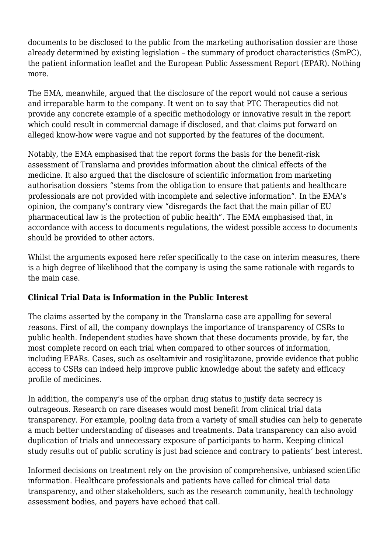documents to be disclosed to the public from the marketing authorisation dossier are those already determined by existing legislation – the summary of product characteristics (SmPC), the patient information leaflet and the European Public Assessment Report (EPAR). Nothing more.

The EMA, meanwhile, argued that the disclosure of the report would not cause a serious and irreparable harm to the company. It went on to say that PTC Therapeutics did not provide any concrete example of a specific methodology or innovative result in the report which could result in commercial damage if disclosed, and that claims put forward on alleged know-how were vague and not supported by the features of the document.

Notably, the EMA emphasised that the report forms the basis for the benefit-risk assessment of Translarna and provides information about the clinical effects of the medicine. It also argued that the disclosure of scientific information from marketing authorisation dossiers "stems from the obligation to ensure that patients and healthcare professionals are not provided with incomplete and selective information". In the EMA's opinion, the company's contrary view "disregards the fact that the main pillar of EU pharmaceutical law is the protection of public health". The EMA emphasised that, in accordance with access to documents regulations, the widest possible access to documents should be provided to other actors.

Whilst the arguments exposed here refer specifically to the case on interim measures, there is a high degree of likelihood that the company is using the same rationale with regards to the main case.

### **Clinical Trial Data is Information in the Public Interest**

The claims asserted by the company in the Translarna case are appalling for several reasons. First of all, the company downplays the importance of transparency of CSRs to public health. Independent studies have shown that these documents provide, by far, the most complete record on each trial when compared to other sources of information, including EPARs. Cases, such as oseltamivir and rosiglitazone, provide evidence that public access to CSRs can indeed help improve public knowledge about the safety and efficacy profile of medicines.

In addition, the company's use of the orphan drug status to justify data secrecy is outrageous. Research on rare diseases would most benefit from clinical trial data transparency. For example, pooling data from a variety of small studies can help to generate a much better understanding of diseases and treatments. Data transparency can also avoid duplication of trials and unnecessary exposure of participants to harm. Keeping clinical study results out of public scrutiny is just bad science and contrary to patients' best interest.

Informed decisions on treatment rely on the provision of comprehensive, unbiased scientific information. Healthcare professionals and patients have called for clinical trial data transparency, and other stakeholders, such as the research community, health technology assessment bodies, and payers have echoed that call.